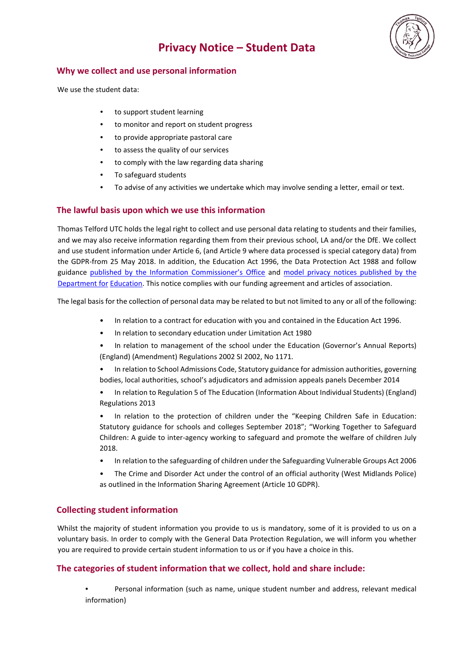# **Privacy Notice – Student Data**



#### **Why we collect and use personal information**

We use the student data:

- to support student learning
- to monitor and report on student progress
- to provide appropriate pastoral care
- to assess the quality of our services
- to comply with the law regarding data sharing
- To safeguard students
- To advise of any activities we undertake which may involve sending a letter, email or text.

## **The lawful basis upon which we use this information**

Thomas Telford UTC holds the legal right to collect and use personal data relating to students and their families, and we may also receive information regarding them from their previous school, LA and/or the DfE. We collect and use student information under Article 6, (and Article 9 where data processed is special category data) from the GDPR-from 25 May 2018. In addition, the Education Act 1996, the Data Protection Act 1988 and follow guidance [published by the Information Commissioner's Office](https://ico.org.uk/for-organisations/guide-to-data-protection/) [an](https://ico.org.uk/for-organisations/guide-to-data-protection/)[d model privacy notices published by the](https://www.gov.uk/government/publications/data-protection-and-privacy-privacy-notices)  [Department for](https://www.gov.uk/government/publications/data-protection-and-privacy-privacy-notices) [Education.](https://www.gov.uk/government/publications/data-protection-and-privacy-privacy-notices) This notice complies with our funding agreement and articles of association.

The legal basis for the collection of personal data may be related to but not limited to any or all of the following:

- In relation to a contract for education with you and contained in the Education Act 1996.
- In relation to secondary education under Limitation Act 1980
- In relation to management of the school under the Education (Governor's Annual Reports) (England) (Amendment) Regulations 2002 SI 2002, No 1171.
- In relation to School Admissions Code, Statutory guidance for admission authorities, governing bodies, local authorities, school's adjudicators and admission appeals panels December 2014
- In relation to Regulation 5 of The Education (Information About Individual Students) (England) Regulations 2013
- In relation to the protection of children under the "Keeping Children Safe in Education: Statutory guidance for schools and colleges September 2018"; "Working Together to Safeguard Children: A guide to inter-agency working to safeguard and promote the welfare of children July 2018.
- In relation to the safeguarding of children under the Safeguarding Vulnerable Groups Act 2006
- The Crime and Disorder Act under the control of an official authority (West Midlands Police) as outlined in the Information Sharing Agreement (Article 10 GDPR).

# **Collecting student information**

Whilst the majority of student information you provide to us is mandatory, some of it is provided to us on a voluntary basis. In order to comply with the General Data Protection Regulation, we will inform you whether you are required to provide certain student information to us or if you have a choice in this.

## **The categories of student information that we collect, hold and share include:**

• Personal information (such as name, unique student number and address, relevant medical information)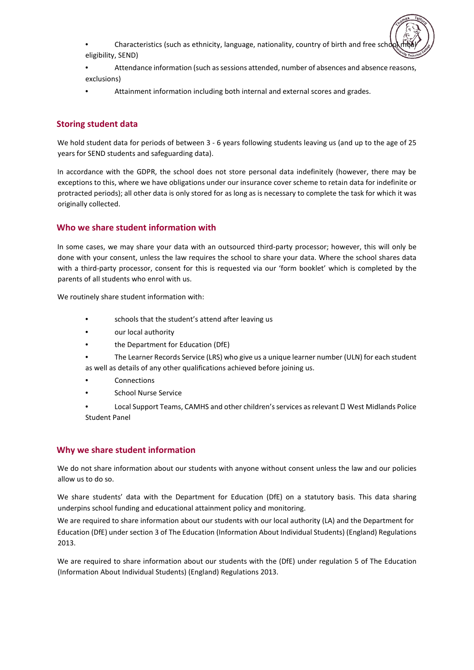- Characteristics (such as ethnicity, language, nationality, country of birth and free scho eligibility, SEND)
- Attendance information (such as sessions attended, number of absences and absence reasons, exclusions)
- Attainment information including both internal and external scores and grades.

## **Storing student data**

We hold student data for periods of between 3 - 6 years following students leaving us (and up to the age of 25 years for SEND students and safeguarding data).

In accordance with the GDPR, the school does not store personal data indefinitely (however, there may be exceptions to this, where we have obligations under our insurance cover scheme to retain data for indefinite or protracted periods); all other data is only stored for as long as is necessary to complete the task for which it was originally collected.

## **Who we share student information with**

In some cases, we may share your data with an outsourced third-party processor; however, this will only be done with your consent, unless the law requires the school to share your data. Where the school shares data with a third-party processor, consent for this is requested via our 'form booklet' which is completed by the parents of all students who enrol with us.

We routinely share student information with:

- schools that the student's attend after leaving us
- our local authority
- the Department for Education (DfE)
- The Learner Records Service (LRS) who give us a unique learner number (ULN) for each student as well as details of any other qualifications achieved before joining us.
- **Connections**
- School Nurse Service
- Local Support Teams, CAMHS and other children's services as relevant  $\Box$  West Midlands Police Student Panel

## **Why we share student information**

We do not share information about our students with anyone without consent unless the law and our policies allow us to do so.

We share students' data with the Department for Education (DfE) on a statutory basis. This data sharing underpins school funding and educational attainment policy and monitoring.

We are required to share information about our students with our local authority (LA) and the Department for Education (DfE) under section 3 of The Education (Information About Individual Students) (England) Regulations 2013.

We are required to share information about our students with the (DfE) under regulation 5 of The Education (Information About Individual Students) (England) Regulations 2013.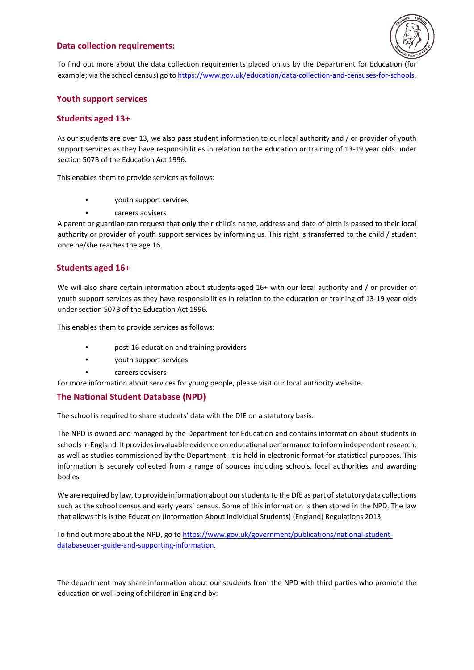#### **Data collection requirements:**



To find out more about the data collection requirements placed on us by the Department for Education (for example; via the school census) go [to https://www.gov.uk/education/data-collection-and-censuses-for-schools.](https://www.gov.uk/education/data-collection-and-censuses-for-schools)

## **Youth support services**

#### **Students aged 13+**

As our students are over 13, we also pass student information to our local authority and / or provider of youth support services as they have responsibilities in relation to the education or training of 13-19 year olds under section 507B of the Education Act 1996.

This enables them to provide services as follows:

- youth support services
- careers advisers

A parent or guardian can request that **only** their child's name, address and date of birth is passed to their local authority or provider of youth support services by informing us. This right is transferred to the child / student once he/she reaches the age 16.

#### **Students aged 16+**

We will also share certain information about students aged 16+ with our local authority and / or provider of youth support services as they have responsibilities in relation to the education or training of 13-19 year olds under section 507B of the Education Act 1996.

This enables them to provide services as follows:

- post-16 education and training providers
- youth support services
- careers advisers

For more information about services for young people, please visit our local authority website.

#### **The National Student Database (NPD)**

The school is required to share students' data with the DfE on a statutory basis.

The NPD is owned and managed by the Department for Education and contains information about students in schools in England. It provides invaluable evidence on educational performance to inform independent research, as well as studies commissioned by the Department. It is held in electronic format for statistical purposes. This information is securely collected from a range of sources including schools, local authorities and awarding bodies.

We are required by law, to provide information about our students to the DfE as part of statutory data collections such as the school census and early years' census. Some of this information is then stored in the NPD. The law that allows this is the Education (Information About Individual Students) (England) Regulations 2013.

To find out more about the NPD, go t[o https://www.gov.uk/government/publications/national-student](https://www.gov.uk/government/publications/national-pupil-database-user-guide-and-supporting-information)[databaseuser-guide-and-supporting-information.](https://www.gov.uk/government/publications/national-pupil-database-user-guide-and-supporting-information)

The department may share information about our students from the NPD with third parties who promote the education or well-being of children in England by: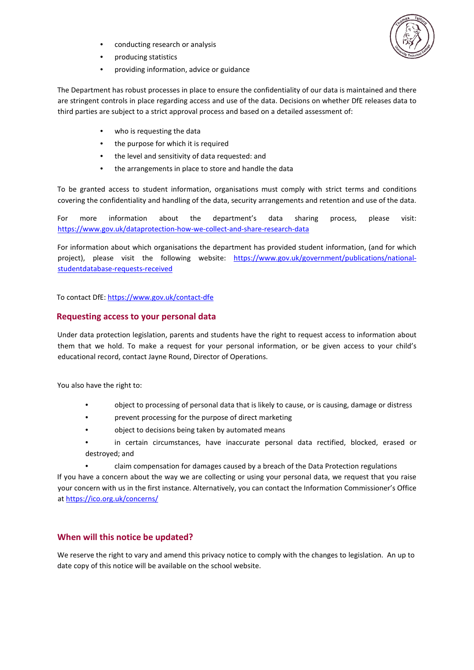

- conducting research or analysis
- producing statistics
- providing information, advice or guidance

The Department has robust processes in place to ensure the confidentiality of our data is maintained and there are stringent controls in place regarding access and use of the data. Decisions on whether DfE releases data to third parties are subject to a strict approval process and based on a detailed assessment of:

- who is requesting the data
- the purpose for which it is required
- the level and sensitivity of data requested: and
- the arrangements in place to store and handle the data

To be granted access to student information, organisations must comply with strict terms and conditions covering the confidentiality and handling of the data, security arrangements and retention and use of the data.

For more information about the department's data sharing process, please visit: [https://www.gov.uk/dataprotection-how-we-collect-and-share-research-data](https://www.gov.uk/data-protection-how-we-collect-and-share-research-data)

For information about which organisations the department has provided student information, (and for which project), please visit the following website: [https://www.gov.uk/government/publications/national](https://www.gov.uk/government/publications/national-pupil-database-requests-received)[studentdatabase-requests-received](https://www.gov.uk/government/publications/national-pupil-database-requests-received)

To contact DfE[: https://www.gov.uk/contact-dfe](https://www.gov.uk/contact-dfe)

#### **Requesting access to your personal data**

Under data protection legislation, parents and students have the right to request access to information about them that we hold. To make a request for your personal information, or be given access to your child's educational record, contact Jayne Round, Director of Operations.

You also have the right to:

- object to processing of personal data that is likely to cause, or is causing, damage or distress
- prevent processing for the purpose of direct marketing
- object to decisions being taken by automated means
- in certain circumstances, have inaccurate personal data rectified, blocked, erased or destroyed; and
	- claim compensation for damages caused by a breach of the Data Protection regulations

If you have a concern about the way we are collecting or using your personal data, we request that you raise your concern with us in the first instance. Alternatively, you can contact the Information Commissioner's Office [at https://ico.org.uk/concerns/](https://ico.org.uk/concerns/)

#### **When will this notice be updated?**

We reserve the right to vary and amend this privacy notice to comply with the changes to legislation. An up to date copy of this notice will be available on the school website.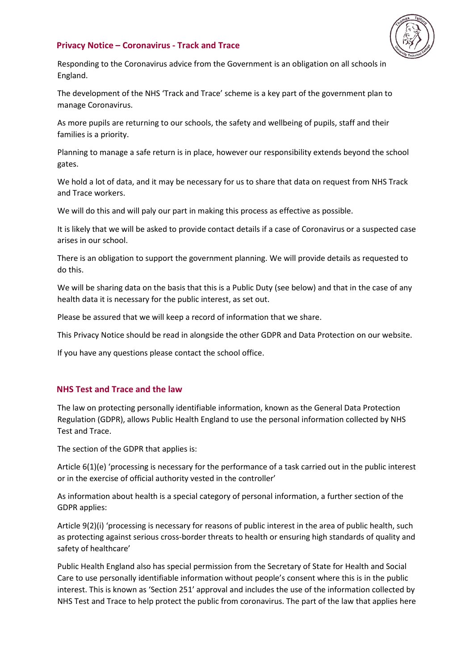### **Privacy Notice – Coronavirus - Track and Trace**



Responding to the Coronavirus advice from the Government is an obligation on all schools in England.

The development of the NHS 'Track and Trace' scheme is a key part of the government plan to manage Coronavirus.

As more pupils are returning to our schools, the safety and wellbeing of pupils, staff and their families is a priority.

Planning to manage a safe return is in place, however our responsibility extends beyond the school gates.

We hold a lot of data, and it may be necessary for us to share that data on request from NHS Track and Trace workers.

We will do this and will paly our part in making this process as effective as possible.

It is likely that we will be asked to provide contact details if a case of Coronavirus or a suspected case arises in our school.

There is an obligation to support the government planning. We will provide details as requested to do this.

We will be sharing data on the basis that this is a Public Duty (see below) and that in the case of any health data it is necessary for the public interest, as set out.

Please be assured that we will keep a record of information that we share.

This Privacy Notice should be read in alongside the other GDPR and Data Protection on our website.

If you have any questions please contact the school office.

## **NHS Test and Trace and the law**

The law on protecting personally identifiable information, known as the General Data Protection Regulation (GDPR), allows Public Health England to use the personal information collected by NHS Test and Trace.

The section of the GDPR that applies is:

Article 6(1)(e) 'processing is necessary for the performance of a task carried out in the public interest or in the exercise of official authority vested in the controller'

As information about health is a special category of personal information, a further section of the GDPR applies:

Article 9(2)(i) 'processing is necessary for reasons of public interest in the area of public health, such as protecting against serious cross-border threats to health or ensuring high standards of quality and safety of healthcare'

Public Health England also has special permission from the Secretary of State for Health and Social Care to use personally identifiable information without people's consent where this is in the public interest. This is known as 'Section 251' approval and includes the use of the information collected by NHS Test and Trace to help protect the public from coronavirus. The part of the law that applies here